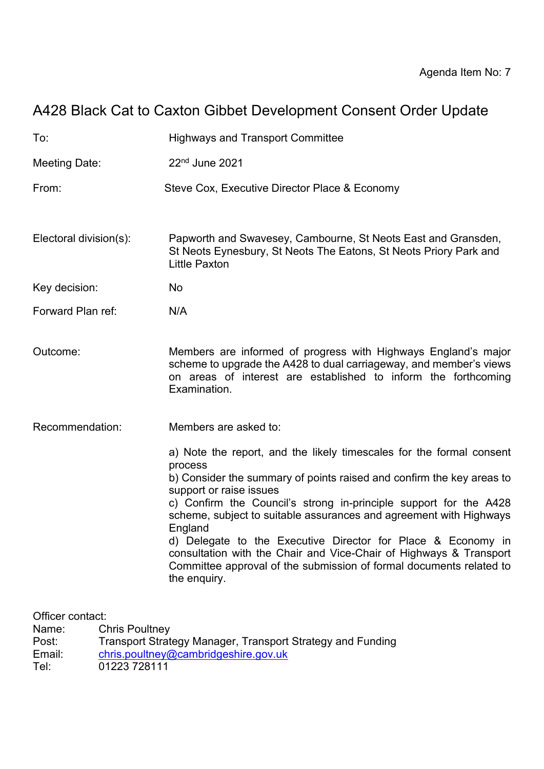# A428 Black Cat to Caxton Gibbet Development Consent Order Update

| To:                         |                                                                                     | <b>Highways and Transport Committee</b>                                                                                                                                                                                                                                                                                                                                                                                                                                                                                                                                |
|-----------------------------|-------------------------------------------------------------------------------------|------------------------------------------------------------------------------------------------------------------------------------------------------------------------------------------------------------------------------------------------------------------------------------------------------------------------------------------------------------------------------------------------------------------------------------------------------------------------------------------------------------------------------------------------------------------------|
| <b>Meeting Date:</b>        |                                                                                     | $22nd$ June 2021                                                                                                                                                                                                                                                                                                                                                                                                                                                                                                                                                       |
| From:                       |                                                                                     | Steve Cox, Executive Director Place & Economy                                                                                                                                                                                                                                                                                                                                                                                                                                                                                                                          |
| Electoral division(s):      |                                                                                     | Papworth and Swavesey, Cambourne, St Neots East and Gransden,<br>St Neots Eynesbury, St Neots The Eatons, St Neots Priory Park and<br><b>Little Paxton</b>                                                                                                                                                                                                                                                                                                                                                                                                             |
| Key decision:               |                                                                                     | No                                                                                                                                                                                                                                                                                                                                                                                                                                                                                                                                                                     |
| Forward Plan ref:           |                                                                                     | N/A                                                                                                                                                                                                                                                                                                                                                                                                                                                                                                                                                                    |
| Outcome:                    |                                                                                     | Members are informed of progress with Highways England's major<br>scheme to upgrade the A428 to dual carriageway, and member's views<br>on areas of interest are established to inform the forthcoming<br>Examination.                                                                                                                                                                                                                                                                                                                                                 |
| Recommendation:             |                                                                                     | Members are asked to:                                                                                                                                                                                                                                                                                                                                                                                                                                                                                                                                                  |
|                             |                                                                                     | a) Note the report, and the likely timescales for the formal consent<br>process<br>b) Consider the summary of points raised and confirm the key areas to<br>support or raise issues<br>c) Confirm the Council's strong in-principle support for the A428<br>scheme, subject to suitable assurances and agreement with Highways<br>England<br>d) Delegate to the Executive Director for Place & Economy in<br>consultation with the Chair and Vice-Chair of Highways & Transport<br>Committee approval of the submission of formal documents related to<br>the enquiry. |
| Officer contact:            |                                                                                     |                                                                                                                                                                                                                                                                                                                                                                                                                                                                                                                                                                        |
| Name:<br>Post:<br>۱۰ : ۱۰ م | <b>Chris Poultney</b><br>Transport Strategy Manager, Transport Strategy and Funding |                                                                                                                                                                                                                                                                                                                                                                                                                                                                                                                                                                        |

Email: [chris.poultney@cambridgeshire.gov.uk](mailto:chris.poultney@cambridgeshire.gov.uk)

Tel: 01223 728111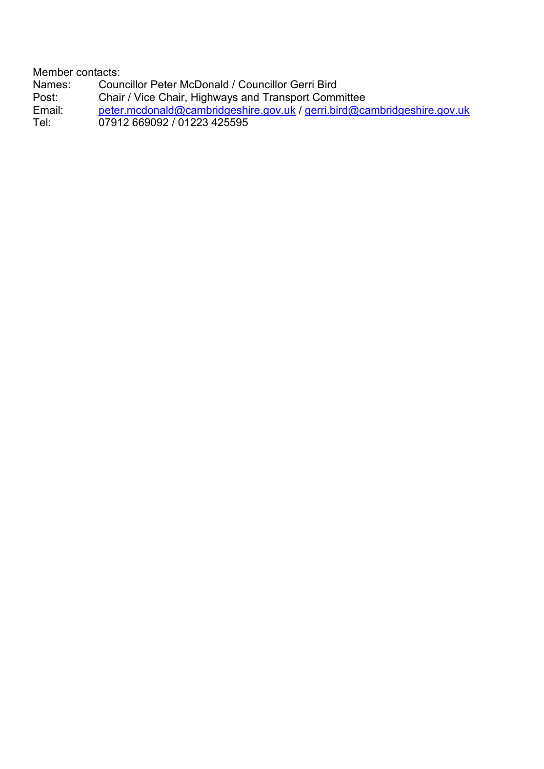Member contacts: Names: Councillor Peter McDonald / Councillor Gerri Bird<br>Post: Chair / Vice Chair. Highways and Transport Comr Post: Chair / Vice Chair, Highways and Transport Committee<br>Email: peter.mcdonald@cambridgeshire.gov.uk / gerri.bird@ca Email: [peter.mcdonald@cambridgeshire.gov.uk](mailto:peter.mcdonald@cambridgeshire.gov.uk) / [gerri.bird@cambridgeshire.gov.uk](mailto:gerri.bird@cambridgeshire.gov.uk)<br>Tel: 07912 669092 / 01223 425595 Tel: 07912 669092 / 01223 425595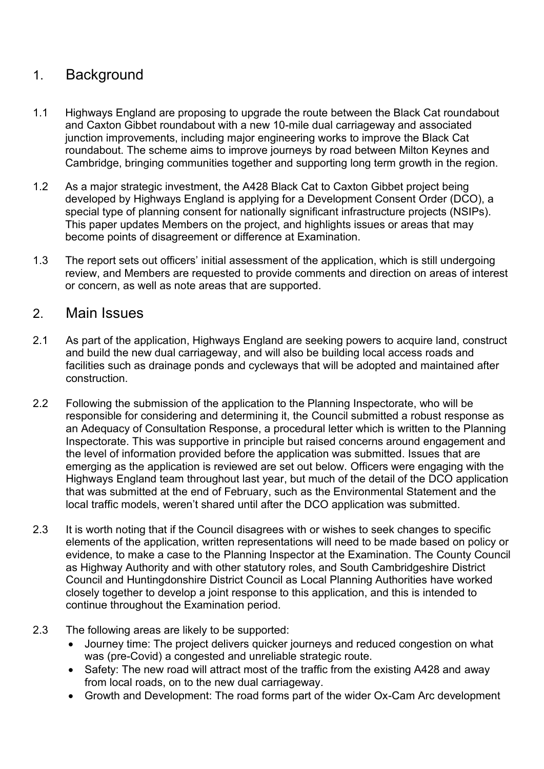# 1. Background

- 1.1 Highways England are proposing to upgrade the route between the Black Cat roundabout and Caxton Gibbet roundabout with a new 10-mile dual carriageway and associated junction improvements, including major engineering works to improve the Black Cat roundabout. The scheme aims to improve journeys by road between Milton Keynes and Cambridge, bringing communities together and supporting long term growth in the region.
- 1.2 As a major strategic investment, the A428 Black Cat to Caxton Gibbet project being developed by Highways England is applying for a Development Consent Order (DCO), a special type of planning consent for nationally significant infrastructure projects (NSIPs). This paper updates Members on the project, and highlights issues or areas that may become points of disagreement or difference at Examination.
- 1.3 The report sets out officers' initial assessment of the application, which is still undergoing review, and Members are requested to provide comments and direction on areas of interest or concern, as well as note areas that are supported.

## 2. Main Issues

- 2.1 As part of the application, Highways England are seeking powers to acquire land, construct and build the new dual carriageway, and will also be building local access roads and facilities such as drainage ponds and cycleways that will be adopted and maintained after construction.
- 2.2 Following the submission of the application to the Planning Inspectorate, who will be responsible for considering and determining it, the Council submitted a robust response as an Adequacy of Consultation Response, a procedural letter which is written to the Planning Inspectorate. This was supportive in principle but raised concerns around engagement and the level of information provided before the application was submitted. Issues that are emerging as the application is reviewed are set out below. Officers were engaging with the Highways England team throughout last year, but much of the detail of the DCO application that was submitted at the end of February, such as the Environmental Statement and the local traffic models, weren't shared until after the DCO application was submitted.
- 2.3 It is worth noting that if the Council disagrees with or wishes to seek changes to specific elements of the application, written representations will need to be made based on policy or evidence, to make a case to the Planning Inspector at the Examination. The County Council as Highway Authority and with other statutory roles, and South Cambridgeshire District Council and Huntingdonshire District Council as Local Planning Authorities have worked closely together to develop a joint response to this application, and this is intended to continue throughout the Examination period.
- 2.3 The following areas are likely to be supported:
	- Journey time: The project delivers quicker journeys and reduced congestion on what was (pre-Covid) a congested and unreliable strategic route.
	- Safety: The new road will attract most of the traffic from the existing A428 and away from local roads, on to the new dual carriageway.
	- Growth and Development: The road forms part of the wider Ox-Cam Arc development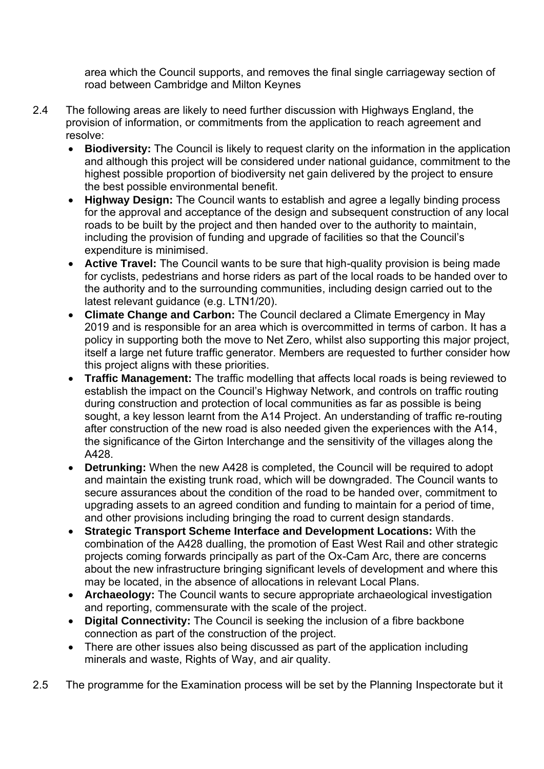area which the Council supports, and removes the final single carriageway section of road between Cambridge and Milton Keynes

- 2.4 The following areas are likely to need further discussion with Highways England, the provision of information, or commitments from the application to reach agreement and resolve:
	- **Biodiversity:** The Council is likely to request clarity on the information in the application and although this project will be considered under national guidance, commitment to the highest possible proportion of biodiversity net gain delivered by the project to ensure the best possible environmental benefit.
	- **Highway Design:** The Council wants to establish and agree a legally binding process for the approval and acceptance of the design and subsequent construction of any local roads to be built by the project and then handed over to the authority to maintain, including the provision of funding and upgrade of facilities so that the Council's expenditure is minimised.
	- **Active Travel:** The Council wants to be sure that high-quality provision is being made for cyclists, pedestrians and horse riders as part of the local roads to be handed over to the authority and to the surrounding communities, including design carried out to the latest relevant guidance (e.g. LTN1/20).
	- **Climate Change and Carbon:** The Council declared a Climate Emergency in May 2019 and is responsible for an area which is overcommitted in terms of carbon. It has a policy in supporting both the move to Net Zero, whilst also supporting this major project, itself a large net future traffic generator. Members are requested to further consider how this project aligns with these priorities.
	- **Traffic Management:** The traffic modelling that affects local roads is being reviewed to establish the impact on the Council's Highway Network, and controls on traffic routing during construction and protection of local communities as far as possible is being sought, a key lesson learnt from the A14 Project. An understanding of traffic re-routing after construction of the new road is also needed given the experiences with the A14, the significance of the Girton Interchange and the sensitivity of the villages along the A428.
	- **Detrunking:** When the new A428 is completed, the Council will be required to adopt and maintain the existing trunk road, which will be downgraded. The Council wants to secure assurances about the condition of the road to be handed over, commitment to upgrading assets to an agreed condition and funding to maintain for a period of time, and other provisions including bringing the road to current design standards.
	- **Strategic Transport Scheme Interface and Development Locations:** With the combination of the A428 dualling, the promotion of East West Rail and other strategic projects coming forwards principally as part of the Ox-Cam Arc, there are concerns about the new infrastructure bringing significant levels of development and where this may be located, in the absence of allocations in relevant Local Plans.
	- **Archaeology:** The Council wants to secure appropriate archaeological investigation and reporting, commensurate with the scale of the project.
	- **Digital Connectivity:** The Council is seeking the inclusion of a fibre backbone connection as part of the construction of the project.
	- There are other issues also being discussed as part of the application including minerals and waste, Rights of Way, and air quality.
- 2.5 The programme for the Examination process will be set by the Planning Inspectorate but it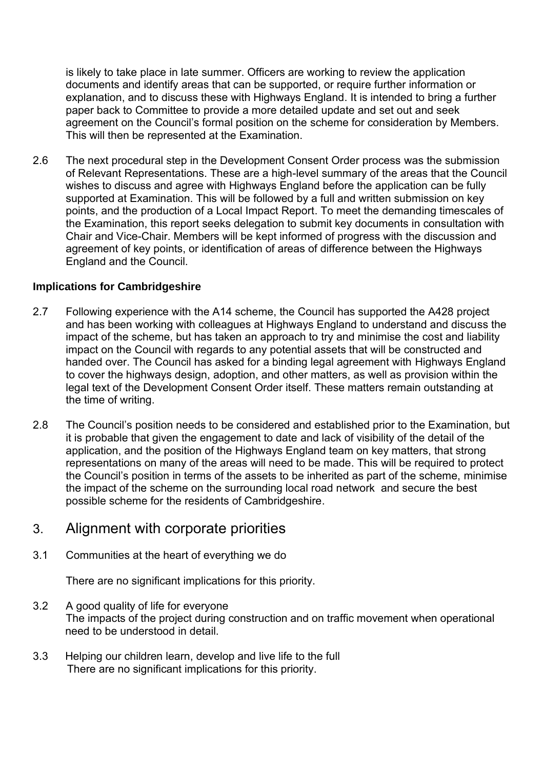is likely to take place in late summer. Officers are working to review the application documents and identify areas that can be supported, or require further information or explanation, and to discuss these with Highways England. It is intended to bring a further paper back to Committee to provide a more detailed update and set out and seek agreement on the Council's formal position on the scheme for consideration by Members. This will then be represented at the Examination.

2.6 The next procedural step in the Development Consent Order process was the submission of Relevant Representations. These are a high-level summary of the areas that the Council wishes to discuss and agree with Highways England before the application can be fully supported at Examination. This will be followed by a full and written submission on key points, and the production of a Local Impact Report. To meet the demanding timescales of the Examination, this report seeks delegation to submit key documents in consultation with Chair and Vice-Chair. Members will be kept informed of progress with the discussion and agreement of key points, or identification of areas of difference between the Highways England and the Council.

#### **Implications for Cambridgeshire**

- 2.7 Following experience with the A14 scheme, the Council has supported the A428 project and has been working with colleagues at Highways England to understand and discuss the impact of the scheme, but has taken an approach to try and minimise the cost and liability impact on the Council with regards to any potential assets that will be constructed and handed over. The Council has asked for a binding legal agreement with Highways England to cover the highways design, adoption, and other matters, as well as provision within the legal text of the Development Consent Order itself. These matters remain outstanding at the time of writing.
- 2.8 The Council's position needs to be considered and established prior to the Examination, but it is probable that given the engagement to date and lack of visibility of the detail of the application, and the position of the Highways England team on key matters, that strong representations on many of the areas will need to be made. This will be required to protect the Council's position in terms of the assets to be inherited as part of the scheme, minimise the impact of the scheme on the surrounding local road network and secure the best possible scheme for the residents of Cambridgeshire.

## 3. Alignment with corporate priorities

3.1 Communities at the heart of everything we do

There are no significant implications for this priority.

- 3.2 A good quality of life for everyone The impacts of the project during construction and on traffic movement when operational need to be understood in detail.
- 3.3 Helping our children learn, develop and live life to the full There are no significant implications for this priority.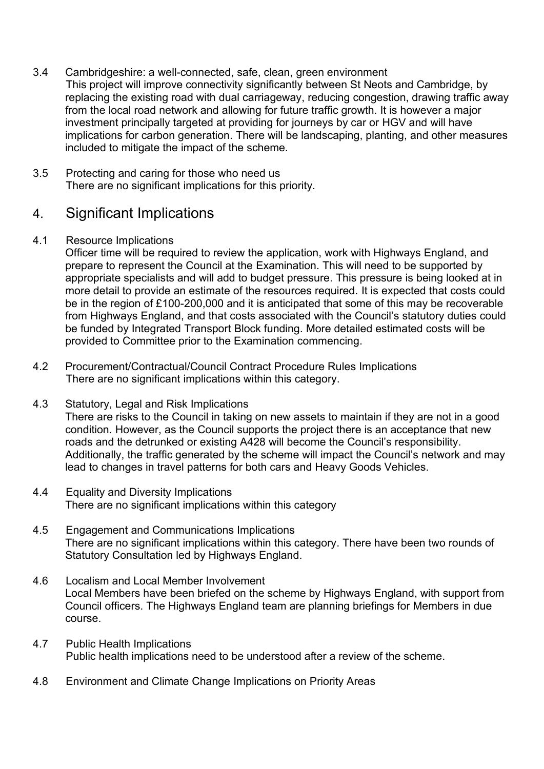- 3.4 Cambridgeshire: a well-connected, safe, clean, green environment This project will improve connectivity significantly between St Neots and Cambridge, by replacing the existing road with dual carriageway, reducing congestion, drawing traffic away from the local road network and allowing for future traffic growth. It is however a major investment principally targeted at providing for journeys by car or HGV and will have implications for carbon generation. There will be landscaping, planting, and other measures included to mitigate the impact of the scheme.
- 3.5 Protecting and caring for those who need us There are no significant implications for this priority.

# 4. Significant Implications

#### 4.1 Resource Implications

Officer time will be required to review the application, work with Highways England, and prepare to represent the Council at the Examination. This will need to be supported by appropriate specialists and will add to budget pressure. This pressure is being looked at in more detail to provide an estimate of the resources required. It is expected that costs could be in the region of £100-200,000 and it is anticipated that some of this may be recoverable from Highways England, and that costs associated with the Council's statutory duties could be funded by Integrated Transport Block funding. More detailed estimated costs will be provided to Committee prior to the Examination commencing.

- 4.2 Procurement/Contractual/Council Contract Procedure Rules Implications There are no significant implications within this category.
- 4.3 Statutory, Legal and Risk Implications There are risks to the Council in taking on new assets to maintain if they are not in a good condition. However, as the Council supports the project there is an acceptance that new roads and the detrunked or existing A428 will become the Council's responsibility. Additionally, the traffic generated by the scheme will impact the Council's network and may lead to changes in travel patterns for both cars and Heavy Goods Vehicles.
- 4.4 Equality and Diversity Implications There are no significant implications within this category
- 4.5 Engagement and Communications Implications There are no significant implications within this category. There have been two rounds of Statutory Consultation led by Highways England.
- 4.6 Localism and Local Member Involvement Local Members have been briefed on the scheme by Highways England, with support from Council officers. The Highways England team are planning briefings for Members in due course.
- 4.7 Public Health Implications Public health implications need to be understood after a review of the scheme.
- 4.8 Environment and Climate Change Implications on Priority Areas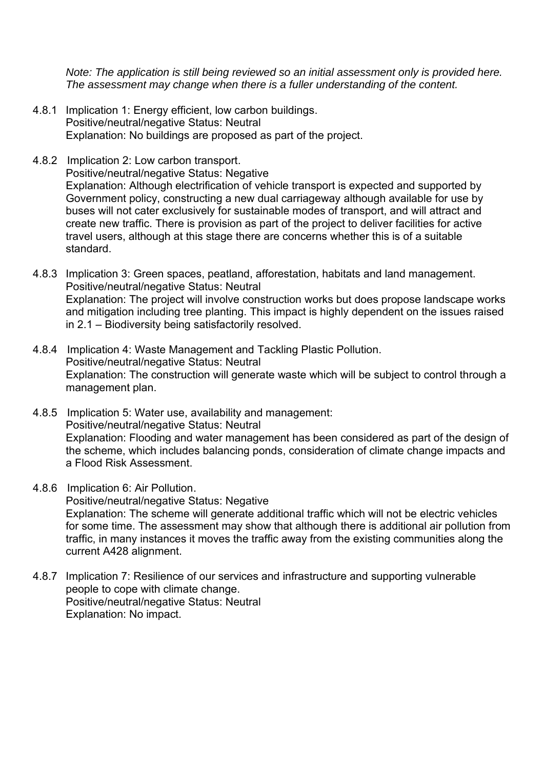*Note: The application is still being reviewed so an initial assessment only is provided here. The assessment may change when there is a fuller understanding of the content.*

- 4.8.1 Implication 1: Energy efficient, low carbon buildings. Positive/neutral/negative Status: Neutral Explanation: No buildings are proposed as part of the project.
- 4.8.2 Implication 2: Low carbon transport. Positive/neutral/negative Status: Negative Explanation: Although electrification of vehicle transport is expected and supported by Government policy, constructing a new dual carriageway although available for use by buses will not cater exclusively for sustainable modes of transport, and will attract and create new traffic. There is provision as part of the project to deliver facilities for active travel users, although at this stage there are concerns whether this is of a suitable standard.
- 4.8.3 Implication 3: Green spaces, peatland, afforestation, habitats and land management. Positive/neutral/negative Status: Neutral Explanation: The project will involve construction works but does propose landscape works and mitigation including tree planting. This impact is highly dependent on the issues raised in 2.1 – Biodiversity being satisfactorily resolved.
- 4.8.4 Implication 4: Waste Management and Tackling Plastic Pollution. Positive/neutral/negative Status: Neutral Explanation: The construction will generate waste which will be subject to control through a management plan.
- 4.8.5 Implication 5: Water use, availability and management: Positive/neutral/negative Status: Neutral Explanation: Flooding and water management has been considered as part of the design of the scheme, which includes balancing ponds, consideration of climate change impacts and a Flood Risk Assessment.
- 4.8.6 Implication 6: Air Pollution.

Positive/neutral/negative Status: Negative Explanation: The scheme will generate additional traffic which will not be electric vehicles for some time. The assessment may show that although there is additional air pollution from traffic, in many instances it moves the traffic away from the existing communities along the current A428 alignment.

4.8.7 Implication 7: Resilience of our services and infrastructure and supporting vulnerable people to cope with climate change. Positive/neutral/negative Status: Neutral Explanation: No impact.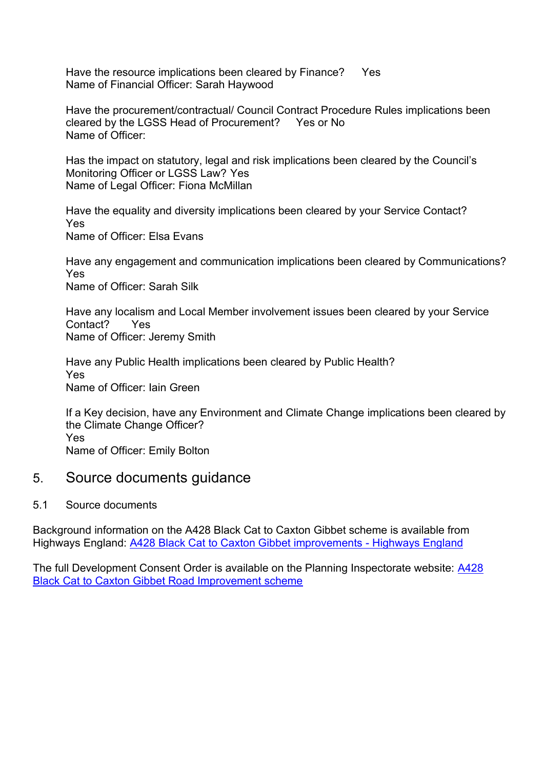Have the resource implications been cleared by Finance? Yes Name of Financial Officer: Sarah Haywood

Have the procurement/contractual/ Council Contract Procedure Rules implications been cleared by the LGSS Head of Procurement? Yes or No Name of Officer:

Has the impact on statutory, legal and risk implications been cleared by the Council's Monitoring Officer or LGSS Law? Yes Name of Legal Officer: Fiona McMillan

Have the equality and diversity implications been cleared by your Service Contact? Yes Name of Officer: Elsa Evans

Have any engagement and communication implications been cleared by Communications? Yes Name of Officer: Sarah Silk

Have any localism and Local Member involvement issues been cleared by your Service Contact? Yes Name of Officer: Jeremy Smith

Have any Public Health implications been cleared by Public Health? Yes Name of Officer: Iain Green

If a Key decision, have any Environment and Climate Change implications been cleared by the Climate Change Officer? Yes Name of Officer: Emily Bolton

## 5. Source documents guidance

#### 5.1 Source documents

Background information on the A428 Black Cat to Caxton Gibbet scheme is available from Highways England: [A428 Black Cat to Caxton Gibbet improvements -](https://highwaysengland.co.uk/our-work/a428-black-cat-to-caxton-gibbet/) Highways England

The full Development Consent Order is available on the Planning Inspectorate website: [A428](https://infrastructure.planninginspectorate.gov.uk/projects/eastern/a428-black-cat-to-caxton-gibbet-road-improvement-scheme/?ipcsection=docs)  [Black Cat to Caxton Gibbet Road Improvement scheme](https://infrastructure.planninginspectorate.gov.uk/projects/eastern/a428-black-cat-to-caxton-gibbet-road-improvement-scheme/?ipcsection=docs)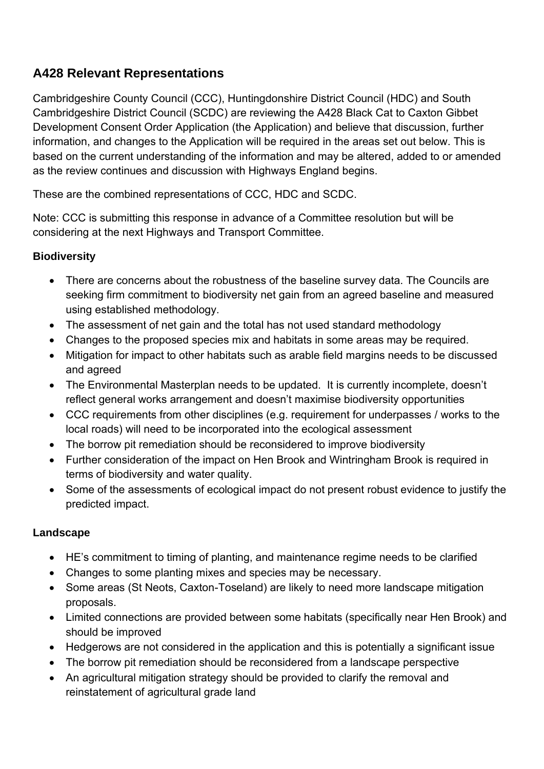# **A428 Relevant Representations**

Cambridgeshire County Council (CCC), Huntingdonshire District Council (HDC) and South Cambridgeshire District Council (SCDC) are reviewing the A428 Black Cat to Caxton Gibbet Development Consent Order Application (the Application) and believe that discussion, further information, and changes to the Application will be required in the areas set out below. This is based on the current understanding of the information and may be altered, added to or amended as the review continues and discussion with Highways England begins.

These are the combined representations of CCC, HDC and SCDC.

Note: CCC is submitting this response in advance of a Committee resolution but will be considering at the next Highways and Transport Committee.

#### **Biodiversity**

- There are concerns about the robustness of the baseline survey data. The Councils are seeking firm commitment to biodiversity net gain from an agreed baseline and measured using established methodology.
- The assessment of net gain and the total has not used standard methodology
- Changes to the proposed species mix and habitats in some areas may be required.
- Mitigation for impact to other habitats such as arable field margins needs to be discussed and agreed
- The Environmental Masterplan needs to be updated. It is currently incomplete, doesn't reflect general works arrangement and doesn't maximise biodiversity opportunities
- CCC requirements from other disciplines (e.g. requirement for underpasses / works to the local roads) will need to be incorporated into the ecological assessment
- The borrow pit remediation should be reconsidered to improve biodiversity
- Further consideration of the impact on Hen Brook and Wintringham Brook is required in terms of biodiversity and water quality.
- Some of the assessments of ecological impact do not present robust evidence to justify the predicted impact.

#### **Landscape**

- HE's commitment to timing of planting, and maintenance regime needs to be clarified
- Changes to some planting mixes and species may be necessary.
- Some areas (St Neots, Caxton-Toseland) are likely to need more landscape mitigation proposals.
- Limited connections are provided between some habitats (specifically near Hen Brook) and should be improved
- Hedgerows are not considered in the application and this is potentially a significant issue
- The borrow pit remediation should be reconsidered from a landscape perspective
- An agricultural mitigation strategy should be provided to clarify the removal and reinstatement of agricultural grade land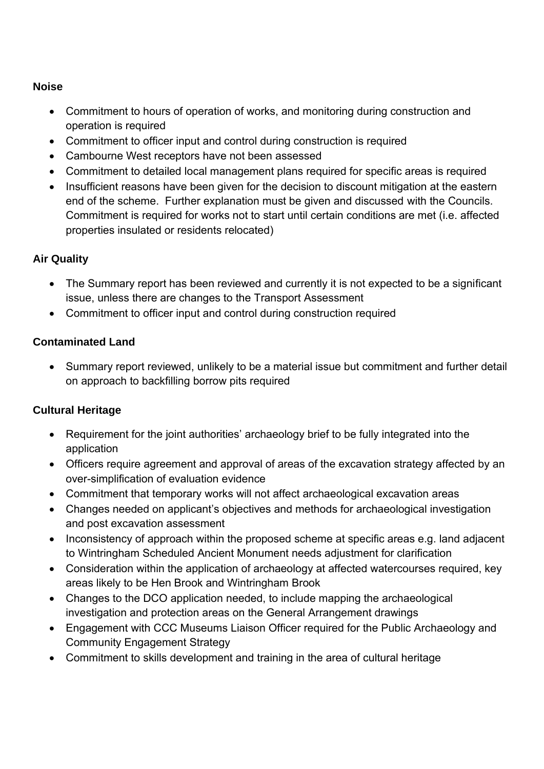#### **Noise**

- Commitment to hours of operation of works, and monitoring during construction and operation is required
- Commitment to officer input and control during construction is required
- Cambourne West receptors have not been assessed
- Commitment to detailed local management plans required for specific areas is required
- Insufficient reasons have been given for the decision to discount mitigation at the eastern end of the scheme. Further explanation must be given and discussed with the Councils. Commitment is required for works not to start until certain conditions are met (i.e. affected properties insulated or residents relocated)

#### **Air Quality**

- The Summary report has been reviewed and currently it is not expected to be a significant issue, unless there are changes to the Transport Assessment
- Commitment to officer input and control during construction required

#### **Contaminated Land**

• Summary report reviewed, unlikely to be a material issue but commitment and further detail on approach to backfilling borrow pits required

#### **Cultural Heritage**

- Requirement for the joint authorities' archaeology brief to be fully integrated into the application
- Officers require agreement and approval of areas of the excavation strategy affected by an over-simplification of evaluation evidence
- Commitment that temporary works will not affect archaeological excavation areas
- Changes needed on applicant's objectives and methods for archaeological investigation and post excavation assessment
- Inconsistency of approach within the proposed scheme at specific areas e.g. land adjacent to Wintringham Scheduled Ancient Monument needs adjustment for clarification
- Consideration within the application of archaeology at affected watercourses required, key areas likely to be Hen Brook and Wintringham Brook
- Changes to the DCO application needed, to include mapping the archaeological investigation and protection areas on the General Arrangement drawings
- Engagement with CCC Museums Liaison Officer required for the Public Archaeology and Community Engagement Strategy
- Commitment to skills development and training in the area of cultural heritage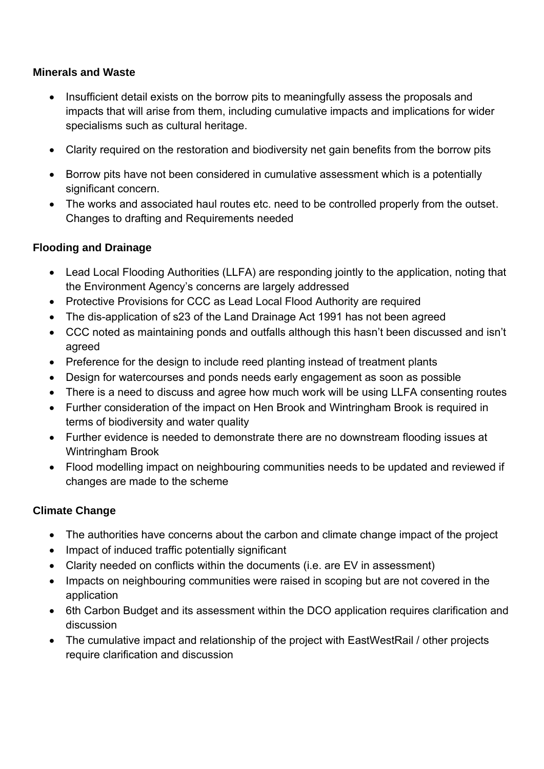#### **Minerals and Waste**

- Insufficient detail exists on the borrow pits to meaningfully assess the proposals and impacts that will arise from them, including cumulative impacts and implications for wider specialisms such as cultural heritage.
- Clarity required on the restoration and biodiversity net gain benefits from the borrow pits
- Borrow pits have not been considered in cumulative assessment which is a potentially significant concern.
- The works and associated haul routes etc. need to be controlled properly from the outset. Changes to drafting and Requirements needed

#### **Flooding and Drainage**

- Lead Local Flooding Authorities (LLFA) are responding jointly to the application, noting that the Environment Agency's concerns are largely addressed
- Protective Provisions for CCC as Lead Local Flood Authority are required
- The dis-application of s23 of the Land Drainage Act 1991 has not been agreed
- CCC noted as maintaining ponds and outfalls although this hasn't been discussed and isn't agreed
- Preference for the design to include reed planting instead of treatment plants
- Design for watercourses and ponds needs early engagement as soon as possible
- There is a need to discuss and agree how much work will be using LLFA consenting routes
- Further consideration of the impact on Hen Brook and Wintringham Brook is required in terms of biodiversity and water quality
- Further evidence is needed to demonstrate there are no downstream flooding issues at Wintringham Brook
- Flood modelling impact on neighbouring communities needs to be updated and reviewed if changes are made to the scheme

#### **Climate Change**

- The authorities have concerns about the carbon and climate change impact of the project
- Impact of induced traffic potentially significant
- Clarity needed on conflicts within the documents (i.e. are EV in assessment)
- Impacts on neighbouring communities were raised in scoping but are not covered in the application
- 6th Carbon Budget and its assessment within the DCO application requires clarification and discussion
- The cumulative impact and relationship of the project with EastWestRail / other projects require clarification and discussion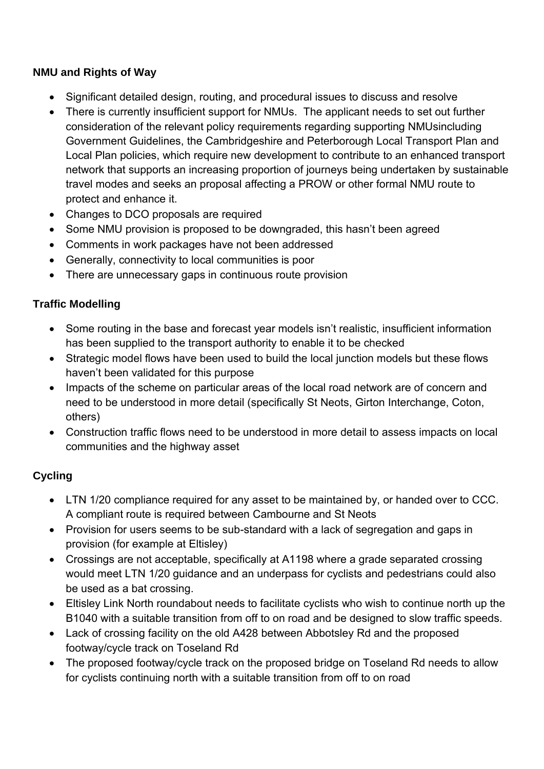#### **NMU and Rights of Way**

- Significant detailed design, routing, and procedural issues to discuss and resolve
- There is currently insufficient support for NMUs. The applicant needs to set out further consideration of the relevant policy requirements regarding supporting NMUsincluding Government Guidelines, the Cambridgeshire and Peterborough Local Transport Plan and Local Plan policies, which require new development to contribute to an enhanced transport network that supports an increasing proportion of journeys being undertaken by sustainable travel modes and seeks an proposal affecting a PROW or other formal NMU route to protect and enhance it.
- Changes to DCO proposals are required
- Some NMU provision is proposed to be downgraded, this hasn't been agreed
- Comments in work packages have not been addressed
- Generally, connectivity to local communities is poor
- There are unnecessary gaps in continuous route provision

#### **Traffic Modelling**

- Some routing in the base and forecast year models isn't realistic, insufficient information has been supplied to the transport authority to enable it to be checked
- Strategic model flows have been used to build the local junction models but these flows haven't been validated for this purpose
- Impacts of the scheme on particular areas of the local road network are of concern and need to be understood in more detail (specifically St Neots, Girton Interchange, Coton, others)
- Construction traffic flows need to be understood in more detail to assess impacts on local communities and the highway asset

#### **Cycling**

- LTN 1/20 compliance required for any asset to be maintained by, or handed over to CCC. A compliant route is required between Cambourne and St Neots
- Provision for users seems to be sub-standard with a lack of segregation and gaps in provision (for example at Eltisley)
- Crossings are not acceptable, specifically at A1198 where a grade separated crossing would meet LTN 1/20 guidance and an underpass for cyclists and pedestrians could also be used as a bat crossing.
- Eltisley Link North roundabout needs to facilitate cyclists who wish to continue north up the B1040 with a suitable transition from off to on road and be designed to slow traffic speeds.
- Lack of crossing facility on the old A428 between Abbotsley Rd and the proposed footway/cycle track on Toseland Rd
- The proposed footway/cycle track on the proposed bridge on Toseland Rd needs to allow for cyclists continuing north with a suitable transition from off to on road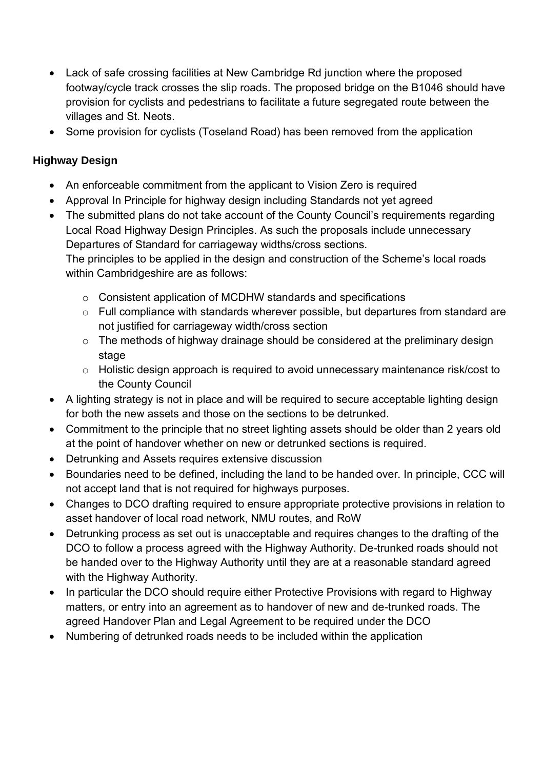- Lack of safe crossing facilities at New Cambridge Rd junction where the proposed footway/cycle track crosses the slip roads. The proposed bridge on the B1046 should have provision for cyclists and pedestrians to facilitate a future segregated route between the villages and St. Neots.
- Some provision for cyclists (Toseland Road) has been removed from the application

### **Highway Design**

- An enforceable commitment from the applicant to Vision Zero is required
- Approval In Principle for highway design including Standards not yet agreed
- The submitted plans do not take account of the County Council's requirements regarding Local Road Highway Design Principles. As such the proposals include unnecessary Departures of Standard for carriageway widths/cross sections. The principles to be applied in the design and construction of the Scheme's local roads

within Cambridgeshire are as follows:

- o Consistent application of MCDHW standards and specifications
- o Full compliance with standards wherever possible, but departures from standard are not justified for carriageway width/cross section
- $\circ$  The methods of highway drainage should be considered at the preliminary design stage
- o Holistic design approach is required to avoid unnecessary maintenance risk/cost to the County Council
- A lighting strategy is not in place and will be required to secure acceptable lighting design for both the new assets and those on the sections to be detrunked.
- Commitment to the principle that no street lighting assets should be older than 2 years old at the point of handover whether on new or detrunked sections is required.
- Detrunking and Assets requires extensive discussion
- Boundaries need to be defined, including the land to be handed over. In principle, CCC will not accept land that is not required for highways purposes.
- Changes to DCO drafting required to ensure appropriate protective provisions in relation to asset handover of local road network, NMU routes, and RoW
- Detrunking process as set out is unacceptable and requires changes to the drafting of the DCO to follow a process agreed with the Highway Authority. De-trunked roads should not be handed over to the Highway Authority until they are at a reasonable standard agreed with the Highway Authority.
- In particular the DCO should require either Protective Provisions with regard to Highway matters, or entry into an agreement as to handover of new and de-trunked roads. The agreed Handover Plan and Legal Agreement to be required under the DCO
- Numbering of detrunked roads needs to be included within the application